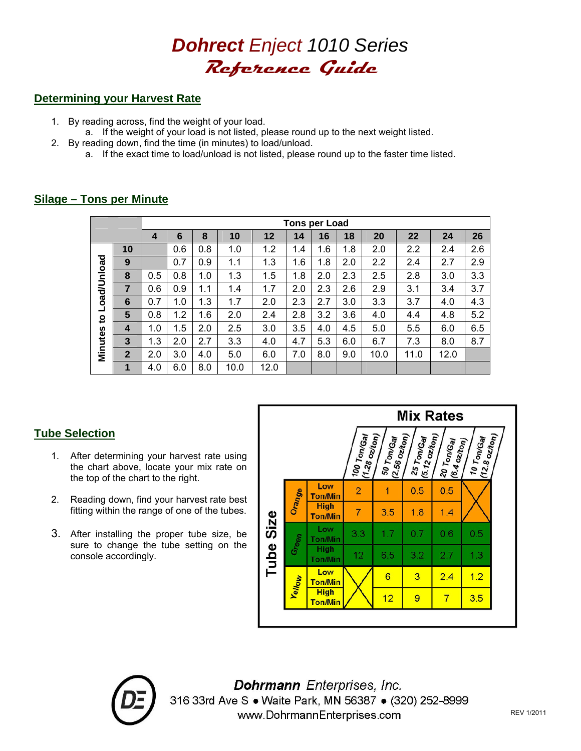

# **Determining your Harvest Rate**

- 1. By reading across, find the weight of your load.
- a. If the weight of your load is not listed, please round up to the next weight listed. 2. By reading down, find the time (in minutes) to load/unload.
	- a. If the exact time to load/unload is not listed, please round up to the faster time listed.

|                                          |                | Tons per Load |     |     |      |      |     |     |     |      |      |      |     |
|------------------------------------------|----------------|---------------|-----|-----|------|------|-----|-----|-----|------|------|------|-----|
|                                          |                | 4             | 6   | 8   | 10   | 12   | 14  | 16  | 18  | 20   | 22   | 24   | 26  |
| Load/Unload<br>$\overline{a}$<br>Minutes | 10             |               | 0.6 | 0.8 | 1.0  | 1.2  | 1.4 | 1.6 | 1.8 | 2.0  | 2.2  | 2.4  | 2.6 |
|                                          | 9              |               | 0.7 | 0.9 | 1.1  | 1.3  | 1.6 | 1.8 | 2.0 | 2.2  | 2.4  | 2.7  | 2.9 |
|                                          | 8              | 0.5           | 0.8 | 1.0 | 1.3  | 1.5  | 1.8 | 2.0 | 2.3 | 2.5  | 2.8  | 3.0  | 3.3 |
|                                          | $\overline{7}$ | 0.6           | 0.9 | 1.1 | 1.4  | 1.7  | 2.0 | 2.3 | 2.6 | 2.9  | 3.1  | 3.4  | 3.7 |
|                                          | 6              | 0.7           | 1.0 | 1.3 | 1.7  | 2.0  | 2.3 | 2.7 | 3.0 | 3.3  | 3.7  | 4.0  | 4.3 |
|                                          | 5              | 0.8           | 1.2 | 1.6 | 2.0  | 2.4  | 2.8 | 3.2 | 3.6 | 4.0  | 4.4  | 4.8  | 5.2 |
|                                          | 4              | 1.0           | 1.5 | 2.0 | 2.5  | 3.0  | 3.5 | 4.0 | 4.5 | 5.0  | 5.5  | 6.0  | 6.5 |
|                                          | $\overline{3}$ | 1.3           | 2.0 | 2.7 | 3.3  | 4.0  | 4.7 | 5.3 | 6.0 | 6.7  | 7.3  | 8.0  | 8.7 |
|                                          | $\overline{2}$ | 2.0           | 3.0 | 4.0 | 5.0  | 6.0  | 7.0 | 8.0 | 9.0 | 10.0 | 11.0 | 12.0 |     |
|                                          | 1              | 4.0           | 6.0 | 8.0 | 10.0 | 12.0 |     |     |     |      |      |      |     |

# **Silage – Tons per Minute**

# **Tube Selection**

- 1. After determining your harvest rate using the chart above, locate your mix rate on the top of the chart to the right.
- 2. Reading down, find your harvest rate best fitting within the range of one of the tubes.
- 3. After installing the proper tube size, be sure to change the tube setting on the console accordingly.





Dohrmann Enterprises, Inc. 316 33rd Ave S . Waite Park, MN 56387 . (320) 252-8999 www.DohrmannEnterprises.com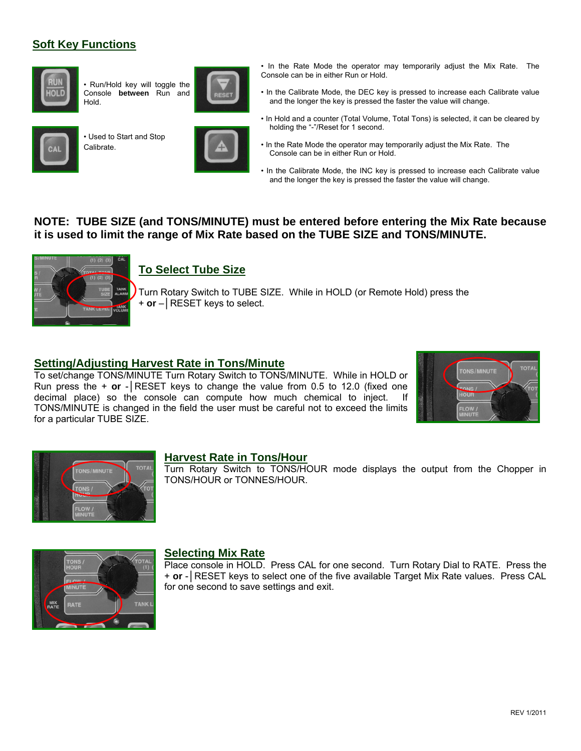# **Soft Key Functions**



• Run/Hold key will toggle the Console **between** Run and Hold.



• Used to Start and Stop Calibrate.





- In the Rate Mode the operator may temporarily adjust the Mix Rate. The Console can be in either Run or Hold.
- In the Calibrate Mode, the DEC key is pressed to increase each Calibrate value and the longer the key is pressed the faster the value will change.
- In Hold and a counter (Total Volume, Total Tons) is selected, it can be cleared by holding the "-"/Reset for 1 second.
- In the Rate Mode the operator may temporarily adjust the Mix Rate. The Console can be in either Run or Hold.
- In the Calibrate Mode, the INC key is pressed to increase each Calibrate value and the longer the key is pressed the faster the value will change.

# **NOTE: TUBE SIZE (and TONS/MINUTE) must be entered before entering the Mix Rate because it is used to limit the range of Mix Rate based on the TUBE SIZE and TONS/MINUTE.**



# **To Select Tube Size**

Turn Rotary Switch to TUBE SIZE. While in HOLD (or Remote Hold) press the + **or** –│RESET keys to select.

### **Setting/Adjusting Harvest Rate in Tons/Minute**

To set/change TONS/MINUTE Turn Rotary Switch to TONS/MINUTE. While in HOLD or Run press the + **or** -│RESET keys to change the value from 0.5 to 12.0 (fixed one decimal place) so the console can compute how much chemical to inject. If TONS/MINUTE is changed in the field the user must be careful not to exceed the limits for a particular TUBE SIZE.





#### **Harvest Rate in Tons/Hour**

Turn Rotary Switch to TONS/HOUR mode displays the output from the Chopper in TONS/HOUR or TONNES/HOUR.



#### **Selecting Mix Rate**

Place console in HOLD. Press CAL for one second. Turn Rotary Dial to RATE. Press the + **or** -│RESET keys to select one of the five available Target Mix Rate values. Press CAL for one second to save settings and exit.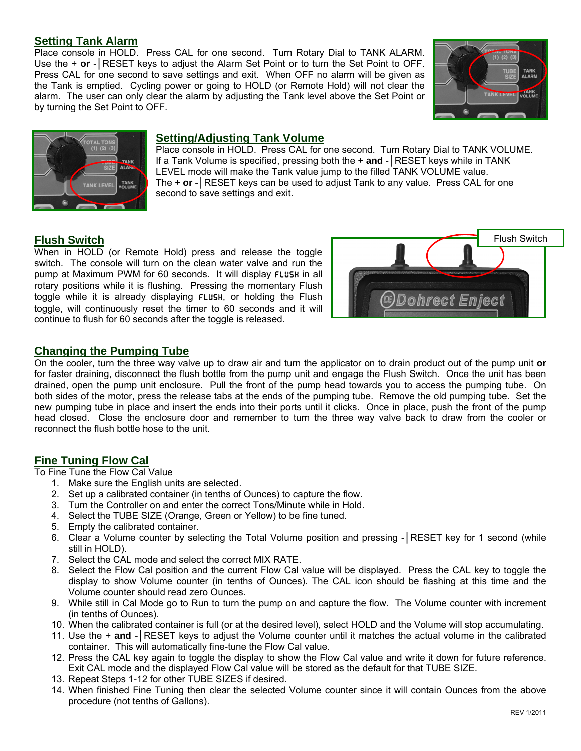# **Setting Tank Alarm**

Place console in HOLD. Press CAL for one second. Turn Rotary Dial to TANK ALARM. Use the + **or** - RESET keys to adjust the Alarm Set Point or to turn the Set Point to OFF. Press CAL for one second to save settings and exit. When OFF no alarm will be given as the Tank is emptied. Cycling power or going to HOLD (or Remote Hold) will not clear the alarm. The user can only clear the alarm by adjusting the Tank level above the Set Point or by turning the Set Point to OFF.





# **Setting/Adjusting Tank Volume**

Place console in HOLD. Press CAL for one second. Turn Rotary Dial to TANK VOLUME. If a Tank Volume is specified, pressing both the + **and** -│RESET keys while in TANK LEVEL mode will make the Tank value jump to the filled TANK VOLUME value. The + **or** -│RESET keys can be used to adjust Tank to any value. Press CAL for one second to save settings and exit.

# **Flush Switch**

When in HOLD (or Remote Hold) press and release the toggle switch. The console will turn on the clean water valve and run the pump at Maximum PWM for 60 seconds. It will display FLUSH in all rotary positions while it is flushing. Pressing the momentary Flush toggle while it is already displaying FLUSH, or holding the Flush toggle, will continuously reset the timer to 60 seconds and it will continue to flush for 60 seconds after the toggle is released.



# **Changing the Pumping Tube**

On the cooler, turn the three way valve up to draw air and turn the applicator on to drain product out of the pump unit **or**  for faster draining, disconnect the flush bottle from the pump unit and engage the Flush Switch. Once the unit has been drained, open the pump unit enclosure. Pull the front of the pump head towards you to access the pumping tube. On both sides of the motor, press the release tabs at the ends of the pumping tube. Remove the old pumping tube. Set the new pumping tube in place and insert the ends into their ports until it clicks. Once in place, push the front of the pump head closed. Close the enclosure door and remember to turn the three way valve back to draw from the cooler or reconnect the flush bottle hose to the unit.

# **Fine Tuning Flow Cal**

To Fine Tune the Flow Cal Value

- 1. Make sure the English units are selected.
- 2. Set up a calibrated container (in tenths of Ounces) to capture the flow.
- 3. Turn the Controller on and enter the correct Tons/Minute while in Hold.
- 4. Select the TUBE SIZE (Orange, Green or Yellow) to be fine tuned.
- 5. Empty the calibrated container.
- 6. Clear a Volume counter by selecting the Total Volume position and pressing -│RESET key for 1 second (while still in HOLD).
- 7. Select the CAL mode and select the correct MIX RATE.
- 8. Select the Flow Cal position and the current Flow Cal value will be displayed. Press the CAL key to toggle the display to show Volume counter (in tenths of Ounces). The CAL icon should be flashing at this time and the Volume counter should read zero Ounces.
- 9. While still in Cal Mode go to Run to turn the pump on and capture the flow. The Volume counter with increment (in tenths of Ounces).
- 10. When the calibrated container is full (or at the desired level), select HOLD and the Volume will stop accumulating.
- 11. Use the + **and** -│RESET keys to adjust the Volume counter until it matches the actual volume in the calibrated container. This will automatically fine-tune the Flow Cal value.
- 12. Press the CAL key again to toggle the display to show the Flow Cal value and write it down for future reference. Exit CAL mode and the displayed Flow Cal value will be stored as the default for that TUBE SIZE.
- 13. Repeat Steps 1-12 for other TUBE SIZES if desired.
- 14. When finished Fine Tuning then clear the selected Volume counter since it will contain Ounces from the above procedure (not tenths of Gallons).